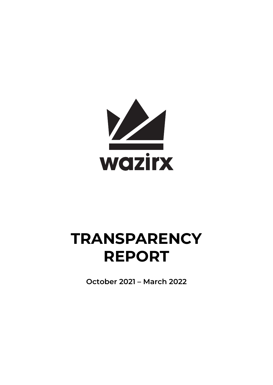

# **TRANSPARENCY REPORT**

**October 2021 – March 2022**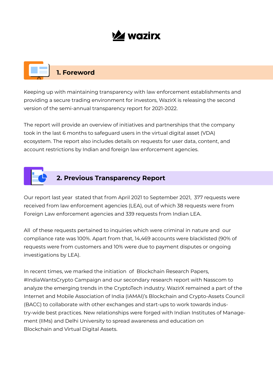## **Z** wazirx

## **1. Foreword**

Keeping up with maintaining transparency with law enforcement establishments and providing a secure trading environment for investors, WazirX is releasing the second version of the semi-annual transparency report for 2021-2022.

The report will provide an overview of initiatives and partnerships that the company took in the last 6 months to safeguard users in the virtual digital asset (VDA) ecosystem. The report also includes details on requests for user data, content, and account restrictions by Indian and foreign law enforcement agencies.



### **2. Previous Transparency Report**

Our report last year stated that from April 2021 to September 2021, 377 requests were received from law enforcement agencies (LEA), out of which 38 requests were from Foreign Law enforcement agencies and 339 requests from Indian LEA.

All of these requests pertained to inquiries which were criminal in nature and our compliance rate was 100%. Apart from that, 14,469 accounts were blacklisted (90% of requests were from customers and 10% were due to payment disputes or ongoing investigations by LEA).

In recent times, we marked the initiation of Blockchain Research Papers, #IndiaWantsCrypto Campaign and our secondary research report with Nasscom to analyze the emerging trends in the CryptoTech industry. WazirX remained a part of the Internet and Mobile Association of India (IAMAI)'s Blockchain and Crypto-Assets Council (BACC) to collaborate with other exchanges and start-ups to work towards industry-wide best practices. New relationships were forged with Indian Institutes of Management (IIMs) and Delhi University to spread awareness and education on Blockchain and Virtual Digital Assets.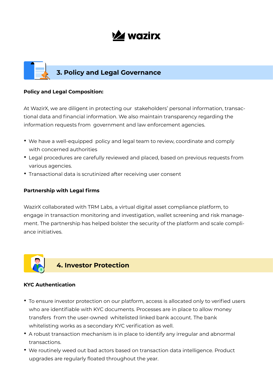## **V2 wazirx**

# **3. Policy and Legal Governance**

### **Policy and Legal Composition:**

At WazirX, we are diligent in protecting our stakeholders' personal information, transactional data and financial information. We also maintain transparency regarding the information requests from government and law enforcement agencies.

- We have a well-equipped policy and legal team to review, coordinate and comply with concerned authorities
- Legal procedures are carefully reviewed and placed, based on previous requests from various agencies.
- Transactional data is scrutinized after receiving user consent

### **Partnership with Legal firms**

WazirX collaborated with TRM Labs, a virtual digital asset compliance platform, to engage in transaction monitoring and investigation, wallet screening and risk management. The partnership has helped bolster the security of the platform and scale compliance initiatives.



### **KYC Authentication**

- To ensure investor protection on our platform, access is allocated only to verified users who are identifiable with KYC documents. Processes are in place to allow money transfers from the user-owned whitelisted linked bank account. The bank whitelisting works as a secondary KYC verification as well.
- A robust transaction mechanism is in place to identify any irregular and abnormal transactions.
- We routinely weed out bad actors based on transaction data intelligence. Product upgrades are regularly floated throughout the year.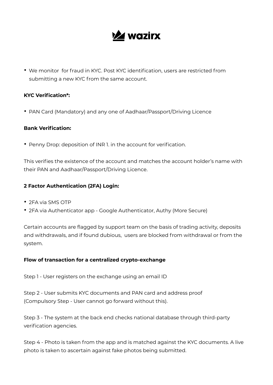## **V2 wazirx**

• We monitor for fraud in KYC. Post KYC identification, users are restricted from submitting a new KYC from the same account.

### **KYC Verification\*:**

• PAN Card (Mandatory) and any one of Aadhaar/Passport/Driving Licence

### **Bank Verification:**

• Penny Drop: deposition of INR 1. in the account for verification.

This verifies the existence of the account and matches the account holder's name with their PAN and Aadhaar/Passport/Driving Licence.

### **2 Factor Authentication (2FA) Login:**

- 2FA via SMS OTP
- 2FA via Authenticator app Google Authenticator, Authy (More Secure)

Certain accounts are flagged by support team on the basis of trading activity, deposits and withdrawals, and if found dubious, users are blocked from withdrawal or from the system.

### **Flow of transaction for a centralized crypto-exchange**

Step 1 - User registers on the exchange using an email ID

Step 2 - User submits KYC documents and PAN card and address proof (Compulsory Step - User cannot go forward without this).

Step 3 - The system at the back end checks national database through third-party verification agencies.

Step 4 - Photo is taken from the app and is matched against the KYC documents. A live photo is taken to ascertain against fake photos being submitted.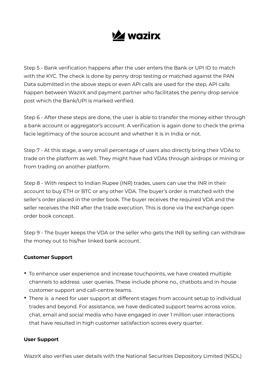

Step 5 - Bank verification happens after the user enters the Bank or UPI ID to match with the KYC. The check is done by penny drop testing or matched against the PAN Data submitted in the above steps or even API calls are used for the step, API calls happen between WazirX and payment partner who facilitates the penny drop service post which the Bank/UPI is marked verified.

Step 6 - After these steps are done, the user is able to transfer the money either through a bank account or aggregator's account. A verification is again done to check the prima facie legitimacy of the source account and whether it is in India or not.

Step 7 - At this stage, a very small percentage of users also directly bring their VDAs to trade on the platform as well. They might have had VDAs through airdrops or mining or from trading on another platform.

Step 8 - With respect to Indian Rupee (INR) trades, users can use the INR in their account to buy ETH or BTC or any other VDA. The buyer's order is matched with the seller's order placed in the order book. The buyer receives the required VDA and the seller receives the INR after the trade execution. This is done via the exchange open order book concept.

Step 9 - The buyer keeps the VDA or the seller who gets the INR by selling can withdraw the money out to his/her linked bank account.

### **Customer Support**

- To enhance user experience and increase touchpoints, we have created multiple channels to address user queries. These include phone no., chatbots and in-house customer support and call-centre teams.
- There is a need for user support at different stages from account setup to individual trades and beyond. For assistance, we have dedicated support teams across voice, chat, email and social media who have engaged in over 1 million user interactions that have resulted in high customer satisfaction scores every quarter.

#### **User Support**

WazirX also verifies user details with the National Securities Depository Limited (NSDL)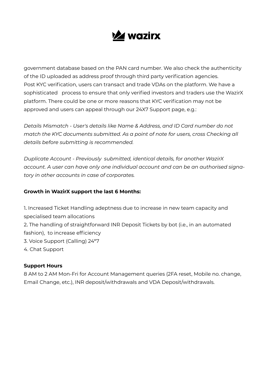

government database based on the PAN card number. We also check the authenticity of the ID uploaded as address proof through third party verification agencies. Post KYC verification, users can transact and trade VDAs on the platform. We have a sophisticated process to ensure that only verified investors and traders use the WazirX platform. There could be one or more reasons that KYC verification may not be approved and users can appeal through our 24X7 Support page, e.g.:

*Details Mismatch - User's details like Name & Address, and ID Card number do not match the KYC documents submitted. As a point of note for users, cross Checking all details before submitting is recommended.*

*Duplicate Account - Previously submitted, identical details, for another WazirX account. A user can have only one individual account and can be an authorised signatory in other accounts in case of corporates.*

### **Growth in WazirX support the last 6 Months:**

1. Increased Ticket Handling adeptness due to increase in new team capacity and specialised team allocations 2. The handling of straightforward INR Deposit Tickets by bot (i.e., in an automated fashion), to increase efficiency 3. Voice Support (Calling) 24\*7 4. Chat Support

### **Support Hours**

8 AM to 2 AM Mon-Fri for Account Management queries (2FA reset, Mobile no. change, Email Change, etc.), INR deposit/withdrawals and VDA Deposit/withdrawals.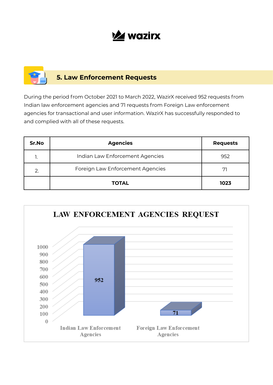## **Z** wazirx

### **5. Law Enforcement Requests**

During the period from October 2021 to March 2022, WazirX received 952 requests from Indian law enforcement agencies and 71 requests from Foreign Law enforcement agencies for transactional and user information. WazirX has successfully responded to and complied with all of these requests.

| Sr.No | <b>Agencies</b>                  | <b>Requests</b> |
|-------|----------------------------------|-----------------|
| 1.    | Indian Law Enforcement Agencies  | 952             |
| 2.    | Foreign Law Enforcement Agencies |                 |
|       | <b>TOTAL</b>                     | 1023            |

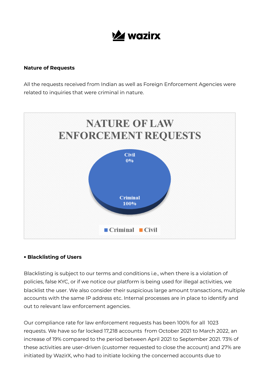

#### **Nature of Requests**

All the requests received from Indian as well as Foreign Enforcement Agencies were related to inquiries that were criminal in nature.



### **• Blacklisting of Users**

Blacklisting is subject to our terms and conditions i.e., when there is a violation of policies, false KYC, or if we notice our platform is being used for illegal activities, we blacklist the user. We also consider their suspicious large amount transactions, multiple accounts with the same IP address etc. Internal processes are in place to identify and out to relevant law enforcement agencies.

Our compliance rate for law enforcement requests has been 100% for all 1023 requests. We have so far locked 17,218 accounts from October 2021 to March 2022, an increase of 19% compared to the period between April 2021 to September 2021. 73% of these activities are user-driven (customer requested to close the account) and 27% are initiated by WazirX, who had to initiate locking the concerned accounts due to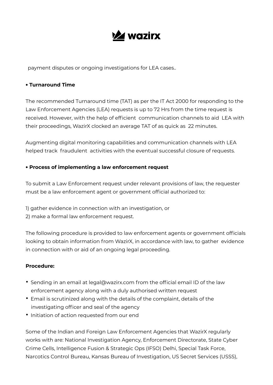

payment disputes or ongoing investigations for LEA cases..

### **• Turnaround Time**

The recommended Turnaround time (TAT) as per the IT Act 2000 for responding to the Law Enforcement Agencies (LEA) requests is up to 72 Hrs from the time request is received. However, with the help of efficient communication channels to aid LEA with their proceedings, WazirX clocked an average TAT of as quick as 22 minutes.

Augmenting digital monitoring capabilities and communication channels with LEA helped track fraudulent activities with the eventual successful closure of requests.

### **• Process of implementing a law enforcement request**

To submit a Law Enforcement request under relevant provisions of law, the requester must be a law enforcement agent or government official authorized to:

1) gather evidence in connection with an investigation, or 2) make a formal law enforcement request.

The following procedure is provided to law enforcement agents or government officials looking to obtain information from WazirX, in accordance with law, to gather evidence in connection with or aid of an ongoing legal proceeding.

### **Procedure:**

- Sending in an email at legal@wazirx.com from the official email ID of the law enforcement agency along with a duly authorised written request
- Email is scrutinized along with the details of the complaint, details of the investigating officer and seal of the agency
- Initiation of action requested from our end

Some of the Indian and Foreign Law Enforcement Agencies that WazirX regularly works with are: National Investigation Agency, Enforcement Directorate, State Cyber Crime Cells, Intelligence Fusion & Strategic Ops (IFSO) Delhi, Special Task Force, Narcotics Control Bureau, Kansas Bureau of Investigation, US Secret Services (USSS),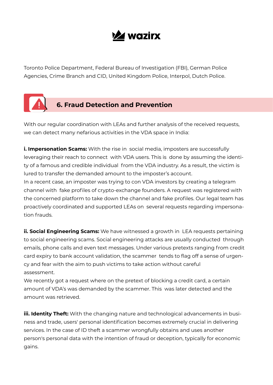

Toronto Police Department, Federal Bureau of Investigation (FBI), German Police Agencies, Crime Branch and CID, United Kingdom Police, Interpol, Dutch Police.



With our regular coordination with LEAs and further analysis of the received requests, we can detect many nefarious activities in the VDA space in India:

**i. Impersonation Scams:** With the rise in social media, imposters are successfully leveraging their reach to connect with VDA users. This is done by assuming the identity of a famous and credible individual from the VDA industry. As a result, the victim is lured to transfer the demanded amount to the imposter's account.

In a recent case, an imposter was trying to con VDA investors by creating a telegram channel with fake profiles of crypto-exchange founders. A request was registered with the concerned platform to take down the channel and fake profiles. Our legal team has proactively coordinated and supported LEAs on several requests regarding impersonation frauds.

**ii. Social Engineering Scams:** We have witnessed a growth in LEA requests pertaining to social engineering scams. Social engineering attacks are usually conducted through emails, phone calls and even text messages. Under various pretexts ranging from credit card expiry to bank account validation, the scammer tends to flag off a sense of urgency and fear with the aim to push victims to take action without careful assessment.

We recently got a request where on the pretext of blocking a credit card, a certain amount of VDA's was demanded by the scammer. This was later detected and the amount was retrieved.

**iii. Identity Theft:** With the changing nature and technological advancements in business and trade, users' personal identification becomes extremely crucial in delivering services. In the case of ID theft a scammer wrongfully obtains and uses another person's personal data with the intention of fraud or deception, typically for economic gains.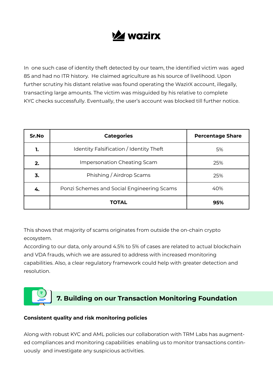## **V2 wazirx**

In one such case of identity theft detected by our team, the identified victim was aged 85 and had no ITR history. He claimed agriculture as his source of livelihood. Upon further scrutiny his distant relative was found operating the WazirX account, illegally, transacting large amounts. The victim was misguided by his relative to complete KYC checks successfully. Eventually, the user's account was blocked till further notice.

| Sr.No | <b>Categories</b>                          | <b>Percentage Share</b> |
|-------|--------------------------------------------|-------------------------|
| 1.    | Identity Falsification / Identity Theft    | 5%                      |
| 2.    | Impersonation Cheating Scam                | 25%                     |
| 3.    | Phishing / Airdrop Scams                   | 25%                     |
| 4.    | Ponzi Schemes and Social Engineering Scams | 40%                     |
|       | <b>TOTAL</b>                               | 95%                     |

This shows that majority of scams originates from outside the on-chain crypto ecosystem.

According to our data, only around 4.5% to 5% of cases are related to actual blockchain and VDA frauds, which we are assured to address with increased monitoring capabilities. Also, a clear regulatory framework could help with greater detection and resolution.

### **7. Building on our Transaction Monitoring Foundation ₹₹**

### **Consistent quality and risk monitoring policies**

Along with robust KYC and AML policies our collaboration with TRM Labs has augmented compliances and monitoring capabilities enabling us to monitor transactions continuously and investigate any suspicious activities.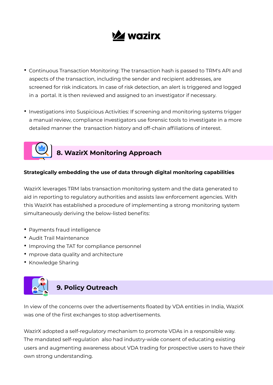

- Continuous Transaction Monitoring: The transaction hash is passed to TRM's API and aspects of the transaction, including the sender and recipient addresses, are screened for risk indicators. In case of risk detection, an alert is triggered and logged in a portal. It is then reviewed and assigned to an investigator if necessary.
- Investigations into Suspicious Activities: If screening and monitoring systems trigger a manual review, compliance investigators use forensic tools to investigate in a more detailed manner the transaction history and off-chain affiliations of interest.



## **8. WazirX Monitoring Approach**

### **Strategically embedding the use of data through digital monitoring capabilities**

WazirX leverages TRM labs transaction monitoring system and the data generated to aid in reporting to regulatory authorities and assists law enforcement agencies. With this WazirX has established a procedure of implementing a strong monitoring system simultaneously deriving the below-listed benefits:

- Payments fraud intelligence
- Audit Trail Maintenance
- Improving the TAT for compliance personnel
- mprove data quality and architecture
- Knowledge Sharing



In view of the concerns over the advertisements floated by VDA entities in India, WazirX was one of the first exchanges to stop advertisements.

WazirX adopted a self-regulatory mechanism to promote VDAs in a responsible way. The mandated self-regulation also had industry-wide consent of educating existing users and augmenting awareness about VDA trading for prospective users to have their own strong understanding.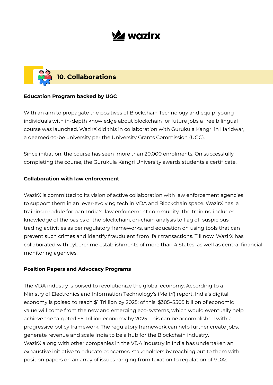## **Z** wazirx



### **Education Program backed by UGC**

With an aim to propagate the positives of Blockchain Technology and equip young individuals with in-depth knowledge about blockchain for future jobs a free bilingual course was launched. WazirX did this in collaboration with Gurukula Kangri in Haridwar, a deemed-to-be university per the University Grants Commission (UGC).

Since initiation, the course has seen more than 20,000 enrolments. On successfully completing the course, the Gurukula Kangri University awards students a certificate.

### **Collaboration with law enforcement**

WazirX is committed to its vision of active collaboration with law enforcement agencies to support them in an ever-evolving tech in VDA and Blockchain space. WazirX has a training module for pan-India's law enforcement community. The training includes knowledge of the basics of the blockchain, on-chain analysis to flag off suspicious trading activities as per regulatory frameworks, and education on using tools that can prevent such crimes and identify fraudulent from fair transactions. Till now, WazirX has collaborated with cybercrime establishments of more than 4 States as well as central financial monitoring agencies.

### **Position Papers and Advocacy Programs**

economy is poised to reach \$1 Trillion by 2025; of this, \$385–\$505 billion of economic value will come from the new and emerging eco-systems, which would eventually help achieve the targeted \$5 Trillion economy by 2025. This can be accomplished with a WazirX along with other companies in the VDA industry in India has undertaken an exhaustive initiative to educate concerned stakeholders by reaching out to them with position papers on an array of issues ranging from taxation to regulation of VDAs. The VDA industry is poised to revolutionize the global economy. According to a Ministry of Electronics and Information Technology's (MeitY) report, India's digital progressive policy framework. The regulatory framework can help further create jobs, generate revenue and scale India to be a hub for the Blockchain industry.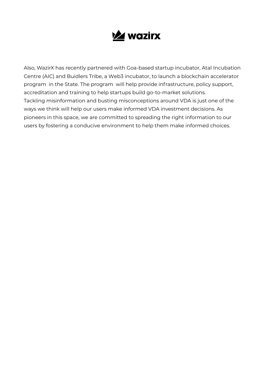

Also, WazirX has recently partnered with Goa-based startup incubator, Atal Incubation program in the State. The program will help provide infrastructure, policy support, accreditation and training to help startups build go-to-market solutions. Tackling misinformation and busting misconceptions around VDA is just one of the ways we think will help our users make informed VDA investment decisions. As pioneers in this space, we are committed to spreading the right information to our users by fostering a conducive environment to help them make informed choices. Centre (AIC) and Buidlers Tribe, a Web3 incubator, to launch a blockchain accelerator